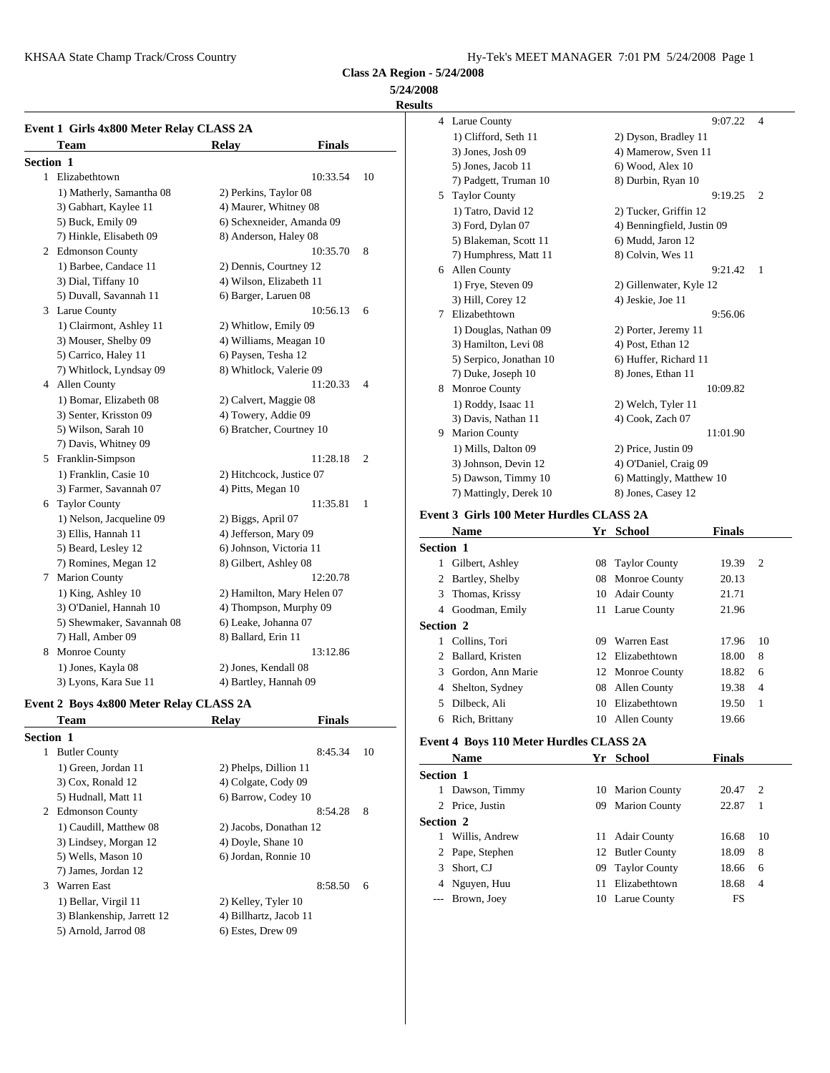# **5/24/2008**

**Results**

|           | Event 1 Girls 4x800 Meter Relay CLASS 2A |                               |                | 4              | Larue                |
|-----------|------------------------------------------|-------------------------------|----------------|----------------|----------------------|
|           | Team                                     | <b>Finals</b><br><b>Relay</b> |                |                | $1)$ Cli             |
| Section 1 |                                          |                               |                |                | $3)$ Jor<br>$5)$ Jor |
|           | 1 Elizabethtown                          | 10:33.54                      | 10             |                | 7) Pac               |
|           | 1) Matherly, Samantha 08                 | 2) Perkins, Taylor 08         |                | 5              | Taylo                |
|           | 3) Gabhart, Kaylee 11                    | 4) Maurer, Whitney 08         |                |                | $1)$ Ta              |
|           | 5) Buck, Emily 09                        | 6) Schexneider, Amanda 09     |                |                | $3)$ For             |
|           | 7) Hinkle, Elisabeth 09                  | 8) Anderson, Haley 08         |                |                | $5)$ Bla             |
|           | 2 Edmonson County                        | 10:35.70                      | 8              |                | 7) Hu                |
|           | 1) Barbee, Candace 11                    | 2) Dennis, Courtney 12        |                |                | 6 Allen              |
|           | 3) Dial, Tiffany 10                      | 4) Wilson, Elizabeth 11       |                |                | $1)$ Fry             |
|           | 5) Duvall, Savannah 11                   | 6) Barger, Laruen 08          |                |                | $3)$ Hil             |
|           | 3 Larue County                           | 10:56.13                      | 6              | 7              | Elizal               |
|           | 1) Clairmont, Ashley 11                  | 2) Whitlow, Emily 09          |                |                | $1)$ Do              |
|           | 3) Mouser, Shelby 09                     | 4) Williams, Meagan 10        |                |                | 3) Ha                |
|           | 5) Carrico, Haley 11                     | 6) Paysen, Tesha 12           |                |                | 5) Sei               |
|           | 7) Whitlock, Lyndsay 09                  | 8) Whitlock, Valerie 09       |                |                | 7) Du                |
|           | 4 Allen County                           | 11:20.33                      | 4              | 8              | Monr                 |
|           | 1) Bomar, Elizabeth 08                   | 2) Calvert, Maggie 08         |                |                | $1)$ Ro              |
|           | 3) Senter, Krisston 09                   | 4) Towery, Addie 09           |                |                | 3) Da                |
|           | 5) Wilson, Sarah 10                      | 6) Bratcher, Courtney 10      |                | 9              | Maric                |
|           | 7) Davis, Whitney 09                     |                               |                |                | $1)$ Mi              |
|           | 5 Franklin-Simpson                       | 11:28.18                      | $\overline{2}$ |                | $3)$ Joh             |
|           | 1) Franklin, Casie 10                    | 2) Hitchcock, Justice 07      |                |                | 5) Da                |
|           | 3) Farmer, Savannah 07                   | 4) Pitts, Megan 10            |                |                | $7)$ Ma              |
|           | 6 Taylor County                          | 11:35.81                      | $\mathbf{1}$   |                |                      |
|           | 1) Nelson, Jacqueline 09                 | 2) Biggs, April 07            |                | Event 3 Gi     |                      |
|           | 3) Ellis, Hannah 11                      | 4) Jefferson, Mary 09         |                |                | <b>Nam</b>           |
|           | 5) Beard, Lesley 12                      | 6) Johnson, Victoria 11       |                | Section 1      |                      |
|           | 7) Romines, Megan 12                     | 8) Gilbert, Ashley 08         |                | 1              | Gilbe                |
|           | 7 Marion County                          | 12:20.78                      |                | 2              | Bartle               |
|           | 1) King, Ashley 10                       | 2) Hamilton, Mary Helen 07    |                | 3              | Thom                 |
|           | 3) O'Daniel, Hannah 10                   | 4) Thompson, Murphy 09        |                | $\overline{4}$ | Good                 |
|           | 5) Shewmaker, Savannah 08                | 6) Leake, Johanna 07          |                | Section 2      |                      |
|           | 7) Hall, Amber 09                        | 8) Ballard, Erin 11           |                |                | 1 Collin             |
|           | 8 Monroe County                          | 13:12.86                      |                | 2              | Ballar               |
|           | 1) Jones, Kayla 08                       | 2) Jones, Kendall 08          |                |                | 3 Gordo              |
|           | 3) Lyons, Kara Sue 11                    | 4) Bartley, Hannah 09         |                |                | $400h$ $\sim 14$     |

# **Event 2 Boys 4x800 Meter Relay CLASS 2A**

|                  | <b>Team</b>                | Relay                  | <b>Finals</b> |    | 6            | Rich,       |
|------------------|----------------------------|------------------------|---------------|----|--------------|-------------|
| <b>Section 1</b> |                            |                        |               |    | Event 4 Bo   |             |
| 1                | <b>Butler County</b>       |                        | 8:45.34       | 10 |              | <b>Nam</b>  |
|                  | 1) Green, Jordan 11        | 2) Phelps, Dillion 11  |               |    |              |             |
|                  | 3) Cox, Ronald 12          | 4) Colgate, Cody 09    |               |    | Section 1    |             |
|                  | 5) Hudnall, Matt 11        | 6) Barrow, Codey 10    |               |    | 1.           | Daws        |
|                  | 2 Edmonson County          |                        | 8:54.28       | 8  |              | 2 Price.    |
|                  | 1) Caudill, Matthew 08     | 2) Jacobs, Donathan 12 |               |    | Section 2    |             |
|                  | 3) Lindsey, Morgan 12      | 4) Doyle, Shane 10     |               |    | 1            | Willis      |
|                  | 5) Wells, Mason 10         | 6) Jordan, Ronnie 10   |               |    | $\mathbf{2}$ | Pape,       |
|                  | 7) James, Jordan 12        |                        |               |    | 3            | Short.      |
| 3                | <b>Warren East</b>         |                        | 8:58.50       | 6  | 4            | Nguy        |
|                  | 1) Bellar, Virgil 11       | 2) Kelley, Tyler 10    |               |    |              | <b>Brow</b> |
|                  | 3) Blankenship, Jarrett 12 | 4) Billhartz, Jacob 11 |               |    |              |             |
|                  | 5) Arnold, Jarrod 08       | 6) Estes, Drew 09      |               |    |              |             |
|                  |                            |                        |               |    |              |             |

| 4                                | Larue County                                    |    |                            | 9:07.22       | 4              |
|----------------------------------|-------------------------------------------------|----|----------------------------|---------------|----------------|
|                                  | 1) Clifford, Seth 11                            |    | 2) Dyson, Bradley 11       |               |                |
|                                  | 3) Jones, Josh 09                               |    | 4) Mamerow, Sven 11        |               |                |
|                                  | 5) Jones, Jacob 11                              |    | 6) Wood, Alex 10           |               |                |
|                                  | 7) Padgett, Truman 10                           |    | 8) Durbin, Ryan 10         |               |                |
|                                  | 5 Taylor County                                 |    |                            | 9:19.25       | $\overline{2}$ |
|                                  | 1) Tatro, David 12                              |    | 2) Tucker, Griffin 12      |               |                |
|                                  | 3) Ford, Dylan 07                               |    | 4) Benningfield, Justin 09 |               |                |
|                                  | 5) Blakeman, Scott 11                           |    | 6) Mudd, Jaron 12          |               |                |
|                                  | 7) Humphress, Matt 11                           |    | 8) Colvin, Wes 11          |               |                |
|                                  | 6 Allen County                                  |    |                            | 9:21.42       | 1              |
|                                  | 1) Frye, Steven 09                              |    | 2) Gillenwater, Kyle 12    |               |                |
|                                  | 3) Hill, Corey 12                               |    | 4) Jeskie, Joe 11          |               |                |
|                                  | 7 Elizabethtown                                 |    |                            | 9:56.06       |                |
|                                  | 1) Douglas, Nathan 09                           |    | 2) Porter, Jeremy 11       |               |                |
|                                  | 3) Hamilton, Levi 08                            |    | 4) Post, Ethan 12          |               |                |
|                                  | 5) Serpico, Jonathan 10                         |    | 6) Huffer, Richard 11      |               |                |
|                                  | 7) Duke, Joseph 10                              |    | 8) Jones, Ethan 11         |               |                |
|                                  | 8 Monroe County                                 |    |                            | 10:09.82      |                |
|                                  | 1) Roddy, Isaac 11                              |    | 2) Welch, Tyler 11         |               |                |
|                                  | 3) Davis, Nathan 11                             |    | 4) Cook, Zach 07           |               |                |
|                                  | 9 Marion County                                 |    |                            | 11:01.90      |                |
|                                  | 1) Mills, Dalton 09                             |    | 2) Price, Justin 09        |               |                |
|                                  | 3) Johnson, Devin 12                            |    | 4) O'Daniel, Craig 09      |               |                |
|                                  | 5) Dawson, Timmy 10                             |    | 6) Mattingly, Matthew 10   |               |                |
|                                  | 7) Mattingly, Derek 10                          |    | 8) Jones, Casey 12         |               |                |
|                                  | <b>Event 3 Girls 100 Meter Hurdles CLASS 2A</b> |    |                            |               |                |
|                                  | <b>Name</b>                                     | Yr | <b>School</b>              | <b>Finals</b> |                |
|                                  |                                                 |    |                            |               |                |
| <b>Section 1</b><br>$\mathbf{1}$ | Gilbert, Ashley                                 | 08 | <b>Taylor County</b>       | 19.39         | 2              |
|                                  |                                                 |    |                            |               |                |
|                                  | 2 Bartley, Shelby                               | 08 | Monroe County              | 20.13         |                |
|                                  | 3 Thomas, Krissy                                | 10 | <b>Adair County</b>        | 21.71         |                |
|                                  | 4 Goodman, Emily                                |    | 11 Larue County            | 21.96         |                |
| <b>Section 2</b>                 |                                                 |    |                            |               |                |
|                                  | 1 Collins, Tori                                 | 09 | Warren East                | 17.96         | 10             |
|                                  | 2 Ballard, Kristen                              | 12 | Elizabethtown              | 18.00         | 8              |
|                                  | 3 Gordon, Ann Marie                             |    | 12 Monroe County           | 18.82         | 6              |
|                                  | 4 Shelton, Sydney                               | 08 | <b>Allen County</b>        | 19.38         | 4              |
| 5                                | Dilbeck, Ali                                    | 10 | Elizabethtown              | 19.50         | 1              |
|                                  | 6 Rich, Brittany                                |    | 10 Allen County            | 19.66         |                |
|                                  |                                                 |    |                            |               |                |

# **Event 4 Boys 110 Meter Hurdles CLASS 2A**

|                  | <b>Name</b>     |     | Yr School            | <b>Finals</b> |                |
|------------------|-----------------|-----|----------------------|---------------|----------------|
| <b>Section 1</b> |                 |     |                      |               |                |
| 1.               | Dawson, Timmy   |     | 10 Marion County     | 20.47         | $\overline{2}$ |
|                  | 2 Price, Justin | 09. | <b>Marion County</b> | 22.87         | $\overline{1}$ |
| <b>Section 2</b> |                 |     |                      |               |                |
|                  | Willis, Andrew  | 11  | <b>Adair County</b>  | 16.68         | -10            |
|                  | 2 Pape, Stephen |     | 12 Butler County     | 18.09         | 8              |
| 3                | Short, CJ       |     | 09 Taylor County     | 18.66         | 6              |
|                  | 4 Nguyen, Huu   | 11  | Elizabethtown        | 18.68         | $\overline{4}$ |
| ---              | Brown, Joey     |     | 10 Larue County      | FS            |                |
|                  |                 |     |                      |               |                |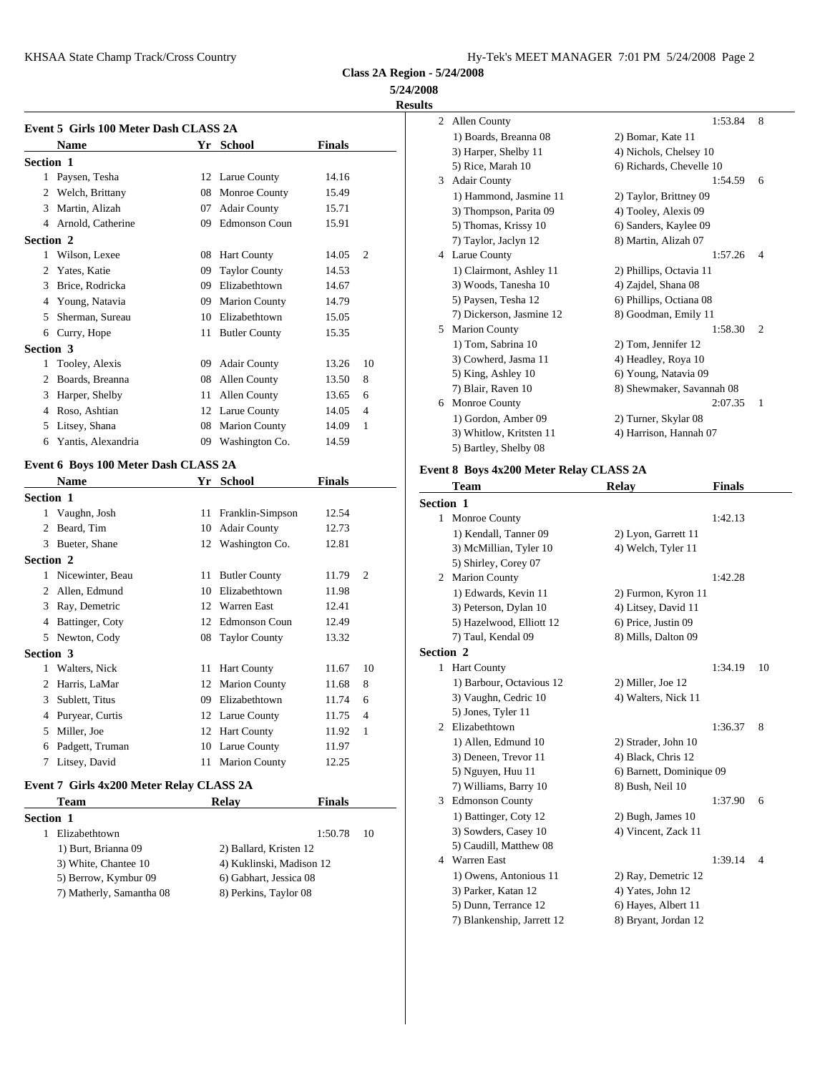**5/24/2008**

**Results**

|                  | Event 5 Girls 100 Meter Dash CLASS 2A |    |                      |               |                |            | $1)$ Bo          |
|------------------|---------------------------------------|----|----------------------|---------------|----------------|------------|------------------|
|                  | <b>Name</b>                           |    | Yr School            | <b>Finals</b> |                |            | $3)$ Ha          |
| <b>Section 1</b> |                                       |    |                      |               |                |            | 5) Ric           |
|                  | 1 Paysen, Tesha                       |    | 12 Larue County      | 14.16         |                | 3          | Adair            |
| 2                | Welch, Brittany                       | 08 | <b>Monroe County</b> | 15.49         |                |            | 1) Ha            |
| 3                | Martin, Alizah                        | 07 | <b>Adair County</b>  | 15.71         |                |            | 3) Th            |
| 4                | Arnold, Catherine                     | 09 | <b>Edmonson Coun</b> | 15.91         |                |            | $5)$ Th          |
| Section 2        |                                       |    |                      |               |                |            | 7) Tay           |
| 1                | Wilson, Lexee                         | 08 | <b>Hart County</b>   | 14.05         | $\overline{c}$ |            | 4 Larue          |
| 2                | Yates, Katie                          | 09 | <b>Taylor County</b> | 14.53         |                |            | $1)$ Cla         |
| 3                | Brice, Rodricka                       | 09 | Elizabethtown        | 14.67         |                |            | $3)$ Wo          |
| 4                | Young, Natavia                        | 09 | <b>Marion County</b> | 14.79         |                |            | 5) Pay           |
| 5                | Sherman, Sureau                       | 10 | Elizabethtown        | 15.05         |                |            | 7) Dio           |
| 6                | Curry, Hope                           | 11 | <b>Butler County</b> | 15.35         |                | 5          | Mario            |
| Section 3        |                                       |    |                      |               |                |            | $1)$ To          |
| 1                | Tooley, Alexis                        |    | 09 Adair County      | 13.26         | 10             |            | $3)$ Co          |
| 2                | Boards, Breanna                       | 08 | <b>Allen County</b>  | 13.50         | 8              |            | 5) Kii           |
| 3                | Harper, Shelby                        | 11 | Allen County         | 13.65         | 6              |            | $7)$ Bla         |
| 4                | Roso, Ashtian                         |    | 12 Larue County      | 14.05         | $\overline{4}$ |            | Monr             |
| 5                | Litsey, Shana                         | 08 | <b>Marion County</b> | 14.09         | 1              |            | $1)$ Go          |
| 6                | Yantis, Alexandria                    | 09 | Washington Co.       | 14.59         |                |            | $3)$ Wh<br>5) Ba |
|                  | Event 6 Boys 100 Meter Dash CLASS 2A  |    |                      |               |                |            |                  |
|                  | <b>Name</b>                           | Yr | <b>School</b>        | <b>Finals</b> |                | Event 8 Bo | Tean             |
| <b>Section 1</b> |                                       |    |                      |               |                | Section 1  |                  |

| <b>Section 1</b>    |    |                                                                                                                                                                                                                                                                                                  |                | Section 1                |
|---------------------|----|--------------------------------------------------------------------------------------------------------------------------------------------------------------------------------------------------------------------------------------------------------------------------------------------------|----------------|--------------------------|
| 1 Vaughn, Josh      |    | 12.54                                                                                                                                                                                                                                                                                            |                | Monr                     |
| 2 Beard, Tim        |    | 12.73                                                                                                                                                                                                                                                                                            |                | $1)$ Ke                  |
| 3 Bueter, Shane     |    | 12.81                                                                                                                                                                                                                                                                                            |                | $3)$ Mc                  |
| <b>Section 2</b>    |    |                                                                                                                                                                                                                                                                                                  |                | 5) Shi                   |
| 1 Nicewinter, Beau  |    | 11.79                                                                                                                                                                                                                                                                                            | $\overline{2}$ | Mario<br>2               |
| 2 Allen, Edmund     |    | 11.98                                                                                                                                                                                                                                                                                            |                | $1)$ Ed                  |
| 3 Ray, Demetric     |    | 12.41                                                                                                                                                                                                                                                                                            |                | 3) Pet                   |
| Battinger, Coty     |    | 12.49                                                                                                                                                                                                                                                                                            |                | 5) Ha                    |
| 5 Newton, Cody      |    | 13.32                                                                                                                                                                                                                                                                                            |                | 7) Ta                    |
| <b>Section 3</b>    |    |                                                                                                                                                                                                                                                                                                  |                | <b>Section 2</b>         |
| 1 Walters, Nick     |    | 11.67                                                                                                                                                                                                                                                                                            | 10             | Hart 0<br>$\mathbf{1}$   |
| 2 Harris, LaMar     |    | 11.68                                                                                                                                                                                                                                                                                            | 8              | 1) Ba                    |
| Sublett, Titus<br>3 | 09 | 11.74                                                                                                                                                                                                                                                                                            | 6              | 3) Va                    |
| 4 Puryear, Curtis   |    | 11.75                                                                                                                                                                                                                                                                                            | $\overline{4}$ | $5)$ Jor                 |
| Miller, Joe         |    | 11.92                                                                                                                                                                                                                                                                                            | 1              | Elizab<br>$\overline{2}$ |
| Padgett, Truman     |    | 11.97                                                                                                                                                                                                                                                                                            |                | $1)$ Al                  |
| Litsey, David<br>7  |    | 12.25                                                                                                                                                                                                                                                                                            |                | $3)$ De<br>$-1$          |
|                     |    | 11 Franklin-Simpson<br>10 Adair County<br>12 Washington Co.<br>11 Butler County<br>10 Elizabethtown<br>12 Warren East<br>12 Edmonson Coun<br>08 Taylor County<br>11 Hart County<br>12 Marion County<br>Elizabethtown<br>12 Larue County<br>12 Hart County<br>10 Larue County<br>11 Marion County |                |                          |

# **Event 7 Girls 4x200 Meter Relay CLASS 2A**

| Team                     | <b>Relay</b>             | <b>Finals</b> | Edmo       |
|--------------------------|--------------------------|---------------|------------|
| Section 1                |                          |               | 1) Ba      |
| Elizabethtown            |                          | 1:50.78<br>10 | $3)$ So    |
| 1) Burt, Brianna 09      | 2) Ballard, Kristen 12   |               | $5)$ Ca    |
| 3) White, Chantee 10     | 4) Kuklinski, Madison 12 |               | Warre<br>4 |
| 5) Berrow, Kymbur 09     | 6) Gabhart, Jessica 08   |               | $1)$ Ov    |
| 7) Matherly, Samantha 08 | 8) Perkins, Taylor 08    |               | $3)$ Par   |
|                          |                          |               |            |

| 2  | <b>Allen County</b>      | 1:53.84                   | 8              |
|----|--------------------------|---------------------------|----------------|
|    | 1) Boards, Breanna 08    | 2) Bomar, Kate 11         |                |
|    | 3) Harper, Shelby 11     | 4) Nichols, Chelsey 10    |                |
|    | 5) Rice, Marah 10        | 6) Richards, Chevelle 10  |                |
| 3  | <b>Adair County</b>      | 1:54.59                   | 6              |
|    | 1) Hammond, Jasmine 11   | 2) Taylor, Brittney 09    |                |
|    | 3) Thompson, Parita 09   | 4) Tooley, Alexis 09      |                |
|    | 5) Thomas, Krissy 10     | 6) Sanders, Kaylee 09     |                |
|    | 7) Taylor, Jaclyn 12     | 8) Martin, Alizah 07      |                |
| 4  | Larue County             | 1:57.26                   | $\overline{4}$ |
|    | 1) Clairmont, Ashley 11  | 2) Phillips, Octavia 11   |                |
|    | 3) Woods, Tanesha 10     | 4) Zajdel, Shana 08       |                |
|    | 5) Paysen, Tesha 12      | 6) Phillips, Octiana 08   |                |
|    | 7) Dickerson, Jasmine 12 | 8) Goodman, Emily 11      |                |
| 5. | <b>Marion County</b>     | 1:58.30                   | 2              |
|    | 1) Tom, Sabrina 10       | 2) Tom, Jennifer 12       |                |
|    | 3) Cowherd, Jasma 11     | 4) Headley, Roya 10       |                |
|    | 5) King, Ashley 10       | 6) Young, Natavia 09      |                |
|    | 7) Blair, Raven 10       | 8) Shewmaker, Savannah 08 |                |
| 6  | Monroe County            | 2:07.35                   | 1              |
|    | 1) Gordon, Amber 09      | 2) Turner, Skylar 08      |                |
|    | 3) Whitlow, Kritsten 11  | 4) Harrison, Hannah 07    |                |
|    | 5) Bartley, Shelby 08    |                           |                |
|    |                          |                           |                |

# **Event 8 Boys 4x200 Meter Relay CLASS 2A**

|                  | Team                       | <b>Relay</b>             | <b>Finals</b> |    |
|------------------|----------------------------|--------------------------|---------------|----|
| <b>Section 1</b> |                            |                          |               |    |
|                  | 1 Monroe County            |                          | 1:42.13       |    |
|                  | 1) Kendall, Tanner 09      | 2) Lyon, Garrett 11      |               |    |
|                  | 3) McMillian, Tyler 10     | 4) Welch, Tyler 11       |               |    |
|                  | 5) Shirley, Corey 07       |                          |               |    |
|                  | 2 Marion County            |                          | 1:42.28       |    |
|                  | 1) Edwards, Kevin 11       | 2) Furmon, Kyron 11      |               |    |
|                  | 3) Peterson, Dylan 10      | 4) Litsey, David 11      |               |    |
|                  | 5) Hazelwood, Elliott 12   | 6) Price, Justin 09      |               |    |
|                  | 7) Taul, Kendal 09         | 8) Mills, Dalton 09      |               |    |
| <b>Section 2</b> |                            |                          |               |    |
|                  | 1 Hart County              |                          | 1:34.19       | 10 |
|                  | 1) Barbour, Octavious 12   | 2) Miller, Joe 12        |               |    |
|                  | 3) Vaughn, Cedric 10       | 4) Walters, Nick 11      |               |    |
|                  | 5) Jones, Tyler 11         |                          |               |    |
| 2                | Elizabethtown              |                          | 1:36.37       | 8  |
|                  | 1) Allen, Edmund 10        | 2) Strader, John 10      |               |    |
|                  | 3) Deneen, Trevor 11       | 4) Black, Chris 12       |               |    |
|                  | 5) Nguyen, Huu 11          | 6) Barnett, Dominique 09 |               |    |
|                  | 7) Williams, Barry 10      | 8) Bush, Neil 10         |               |    |
|                  | 3 Edmonson County          |                          | 1:37.90       | 6  |
|                  | 1) Battinger, Coty 12      | $2)$ Bugh, James 10      |               |    |
|                  | 3) Sowders, Casey 10       | 4) Vincent, Zack 11      |               |    |
|                  | 5) Caudill, Matthew 08     |                          |               |    |
|                  | 4 Warren East              |                          | 1:39.14       | 4  |
|                  | 1) Owens, Antonious 11     | 2) Ray, Demetric 12      |               |    |
|                  | 3) Parker, Katan 12        | 4) Yates, John 12        |               |    |
|                  | 5) Dunn, Terrance 12       | 6) Hayes, Albert 11      |               |    |
|                  | 7) Blankenship, Jarrett 12 | 8) Bryant, Jordan 12     |               |    |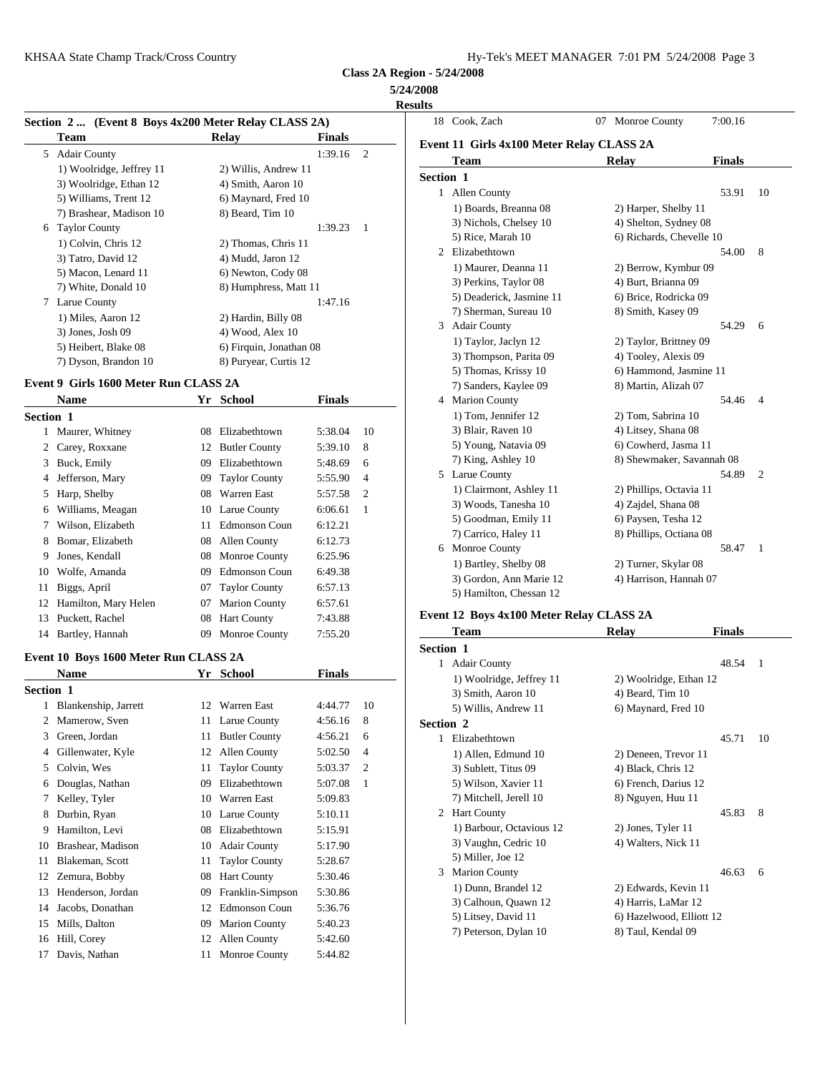### **5/24/2008 Results**

|                          |                                  |               |                                                                                                          | 18 Cool          |
|--------------------------|----------------------------------|---------------|----------------------------------------------------------------------------------------------------------|------------------|
| Team                     | Relay                            | <b>Finals</b> |                                                                                                          | Event 11         |
|                          |                                  | 1:39.16       | $\overline{2}$                                                                                           | Tea              |
| 1) Woolridge, Jeffrey 11 | 2) Willis, Andrew 11             |               |                                                                                                          |                  |
| 3) Woolridge, Ethan 12   | 4) Smith, Aaron 10               |               |                                                                                                          | <b>Section 1</b> |
| 5) Williams, Trent 12    | 6) Maynard, Fred 10              |               |                                                                                                          | Alle             |
| 7) Brashear, Madison 10  | 8) Beard, Tim 10                 |               |                                                                                                          | $1)$ B           |
| <b>Taylor County</b>     |                                  | 1:39.23       | $\overline{1}$                                                                                           | 3) N             |
| 1) Colvin, Chris 12      | 2) Thomas, Chris 11              |               |                                                                                                          | 5) R             |
| 3) Tatro, David 12       | 4) Mudd, Jaron 12                |               |                                                                                                          | 2 Eliza          |
| 5) Macon, Lenard 11      | 6) Newton, Cody 08               |               |                                                                                                          | 1) N             |
| 7) White, Donald 10      |                                  |               |                                                                                                          | $3)$ P           |
|                          |                                  | 1:47.16       |                                                                                                          | 5) D             |
| 1) Miles, Aaron 12       | 2) Hardin, Billy 08              |               |                                                                                                          | $7)$ S           |
| $3)$ Jones, Josh 09      | 4) Wood, Alex 10                 |               |                                                                                                          | Ada<br>3         |
| 5) Heibert, Blake 08     |                                  |               |                                                                                                          | 1) T             |
| 7) Dyson, Brandon 10     | 8) Puryear, Curtis 12            |               |                                                                                                          | 3) T             |
|                          | 5 Adair County<br>7 Larue County |               | Section 2  (Event 8 Boys 4x200 Meter Relay CLASS 2A)<br>8) Humphress, Matt 11<br>6) Firquin, Jonathan 08 |                  |

#### **Event 9 Girls 1600 Meter Run CLASS 2A**

|                  | <b>Name</b>             | Yr | <b>School</b>        | <b>Finals</b> |                |            | Mario    |
|------------------|-------------------------|----|----------------------|---------------|----------------|------------|----------|
| <b>Section 1</b> |                         |    |                      |               |                |            | $1)$ To  |
|                  | 1 Maurer, Whitney       |    | 08 Elizabethtown     | 5:38.04       | 10             |            | $3)$ Bla |
| 2                | Carey, Roxxane          |    | 12 Butler County     | 5:39.10       | 8              |            | 5) Yo    |
| 3                | Buck, Emily             | 09 | Elizabethtown        | 5:48.69       | 6              |            | 7) Kii   |
| 4                | Jefferson, Mary         |    | 09 Taylor County     | 5:55.90       | $\overline{4}$ | 5.         | Larue    |
| 5                | Harp, Shelby            | 08 | <b>Warren East</b>   | 5:57.58       | $\overline{c}$ |            | $1)$ Cla |
| 6                | Williams, Meagan        |    | 10 Larue County      | 6:06.61       | 1              |            | $3)$ Wo  |
| 7                | Wilson, Elizabeth       |    | 11 Edmonson Coun     | 6:12.21       |                |            | $5)$ Go  |
|                  | Bomar, Elizabeth        |    | 08 Allen County      | 6:12.73       |                |            | 7) Ca    |
| 9                | Jones, Kendall          |    | 08 Monroe County     | 6:25.96       |                | 6          | Monr     |
| 10               | Wolfe, Amanda           | 09 | <b>Edmonson Coun</b> | 6:49.38       |                |            | 1) Ba    |
| 11               | Biggs, April            |    | 07 Taylor County     | 6:57.13       |                |            | $3)$ Go  |
|                  | 12 Hamilton, Mary Helen | 07 | <b>Marion County</b> | 6:57.61       |                |            | 5) Ha    |
| 13               | Puckett, Rachel         | 08 | <b>Hart County</b>   | 7:43.88       |                | Event 12 B |          |
| 14               | Bartley, Hannah         | 09 | Monroe County        | 7:55.20       |                |            | Tean     |
|                  |                         |    |                      |               |                |            |          |

#### **Event 10 Boys 1600 Meter Run CLASS 2A**

|                  | <b>Name</b>          |    | Yr School            | <b>Finals</b> |                | $1)$ W      |
|------------------|----------------------|----|----------------------|---------------|----------------|-------------|
| <b>Section 1</b> |                      |    |                      |               |                | $3)$ Sm     |
| 1                | Blankenship, Jarrett |    | 12 Warren East       | 4:44.77       | 10             | 5) Wi       |
| 2                | Mamerow, Sven        | 11 | Larue County         | 4:56.16       | 8              | Section 2   |
| 3                | Green, Jordan        |    | 11 Butler County     | 4:56.21       | 6              | Elizab      |
| 4                | Gillenwater, Kyle    |    | 12 Allen County      | 5:02.50       | $\overline{4}$ | $1)$ Al     |
| 5                | Colvin, Wes          | 11 | <b>Taylor County</b> | 5:03.37       | $\overline{c}$ | $3)$ Sul    |
| 6                | Douglas, Nathan      | 09 | Elizabethtown        | 5:07.08       | 1              | 5) Wi       |
| 7                | Kelley, Tyler        |    | 10 Warren East       | 5:09.83       |                | 7) Mi       |
| 8                | Durbin, Ryan         |    | 10 Larue County      | 5:10.11       |                | Hart 0<br>2 |
| 9                | Hamilton, Levi       |    | 08 Elizabethtown     | 5:15.91       |                | $1)$ Ba     |
| 10               | Brashear, Madison    | 10 | <b>Adair County</b>  | 5:17.90       |                | 3) Va       |
| 11               | Blakeman, Scott      |    | 11 Taylor County     | 5:28.67       |                | 5) Mi       |
| 12               | Zemura, Bobby        | 08 | <b>Hart County</b>   | 5:30.46       |                | Mario<br>3  |
| 13               | Henderson, Jordan    | 09 | Franklin-Simpson     | 5:30.86       |                | $1)$ Du     |
| 14               | Jacobs, Donathan     |    | 12 Edmonson Coun     | 5:36.76       |                | 3) Ca       |
| 15               | Mills, Dalton        | 09 | <b>Marion County</b> | 5:40.23       |                | $5)$ Lit    |
| 16               | Hill, Corey          |    | 12 Allen County      | 5:42.60       |                | 7) Pet      |
| 17               | Davis, Nathan        | 11 | Monroe County        | 5:44.82       |                |             |

|           | 18 Cook, Zach                             | 07 | <b>Monroe County</b>      | 7:00.16       |                |
|-----------|-------------------------------------------|----|---------------------------|---------------|----------------|
|           | Event 11 Girls 4x100 Meter Relay CLASS 2A |    |                           |               |                |
|           | <b>Team</b>                               |    | Relay                     | <b>Finals</b> |                |
| Section 1 |                                           |    |                           |               |                |
|           | 1 Allen County                            |    |                           | 53.91         | 10             |
|           | 1) Boards, Breanna 08                     |    | 2) Harper, Shelby 11      |               |                |
|           | 3) Nichols, Chelsey 10                    |    | 4) Shelton, Sydney 08     |               |                |
|           | 5) Rice, Marah 10                         |    | 6) Richards, Chevelle 10  |               |                |
|           | 2 Elizabethtown                           |    |                           | 54.00         | 8              |
|           | 1) Maurer, Deanna 11                      |    | 2) Berrow, Kymbur 09      |               |                |
|           | 3) Perkins, Taylor 08                     |    | 4) Burt, Brianna 09       |               |                |
|           | 5) Deaderick, Jasmine 11                  |    | 6) Brice, Rodricka 09     |               |                |
|           | 7) Sherman, Sureau 10                     |    | 8) Smith, Kasey 09        |               |                |
| 3         | <b>Adair County</b>                       |    |                           | 54.29         | 6              |
|           | 1) Taylor, Jaclyn 12                      |    | 2) Taylor, Brittney 09    |               |                |
|           | 3) Thompson, Parita 09                    |    | 4) Tooley, Alexis 09      |               |                |
|           | 5) Thomas, Krissy 10                      |    | 6) Hammond, Jasmine 11    |               |                |
|           | 7) Sanders, Kaylee 09                     |    | 8) Martin, Alizah 07      |               |                |
|           | 4 Marion County                           |    |                           | 54.46         | $\overline{4}$ |
|           | 1) Tom, Jennifer 12                       |    | 2) Tom, Sabrina 10        |               |                |
|           | 3) Blair, Raven 10                        |    | 4) Litsey, Shana 08       |               |                |
|           | 5) Young, Natavia 09                      |    | 6) Cowherd, Jasma 11      |               |                |
|           | 7) King, Ashley 10                        |    | 8) Shewmaker, Savannah 08 |               |                |
|           | 5 Larue County                            |    |                           | 54.89         | $\overline{2}$ |
|           | 1) Clairmont, Ashley 11                   |    | 2) Phillips, Octavia 11   |               |                |
|           | 3) Woods, Tanesha 10                      |    | 4) Zajdel, Shana 08       |               |                |
|           | 5) Goodman, Emily 11                      |    | 6) Paysen, Tesha 12       |               |                |
|           | 7) Carrico, Haley 11                      |    | 8) Phillips, Octiana 08   |               |                |
| 6         | Monroe County                             |    |                           | 58.47         | 1              |
|           | 1) Bartley, Shelby 08                     |    | 2) Turner, Skylar 08      |               |                |
|           | 3) Gordon, Ann Marie 12                   |    | 4) Harrison, Hannah 07    |               |                |
|           | 5) Hamilton, Chessan 12                   |    |                           |               |                |

# **Event 12 Boys 4x100 Meter Relay CLASS 2A**

|                  | Team                     | Relay                    | <b>Finals</b> |                |
|------------------|--------------------------|--------------------------|---------------|----------------|
| <b>Section 1</b> |                          |                          |               |                |
| 1                | <b>Adair County</b>      |                          | 48.54         | $\overline{1}$ |
|                  | 1) Woolridge, Jeffrey 11 | 2) Woolridge, Ethan 12   |               |                |
|                  | 3) Smith, Aaron 10       | 4) Beard, Tim 10         |               |                |
|                  | 5) Willis, Andrew 11     | 6) Maynard, Fred 10      |               |                |
| <b>Section 2</b> |                          |                          |               |                |
| 1                | Elizabethtown            |                          | 45.71         | 10             |
|                  | 1) Allen, Edmund 10      | 2) Deneen, Trevor 11     |               |                |
|                  | 3) Sublett, Titus 09     | 4) Black, Chris 12       |               |                |
|                  | 5) Wilson, Xavier 11     | 6) French, Darius 12     |               |                |
|                  | 7) Mitchell, Jerell 10   | 8) Nguyen, Huu 11        |               |                |
| 2                | <b>Hart County</b>       |                          | 45.83         | 8              |
|                  | 1) Barbour, Octavious 12 | 2) Jones, Tyler 11       |               |                |
|                  | 3) Vaughn, Cedric 10     | 4) Walters, Nick 11      |               |                |
|                  | 5) Miller, Joe 12        |                          |               |                |
| 3                | <b>Marion County</b>     |                          | 46.63         | 6              |
|                  | 1) Dunn, Brandel 12      | 2) Edwards, Kevin 11     |               |                |
|                  | 3) Calhoun, Quawn 12     | 4) Harris, LaMar 12      |               |                |
|                  | 5) Litsey, David 11      | 6) Hazelwood, Elliott 12 |               |                |
|                  | 7) Peterson, Dylan 10    | 8) Taul, Kendal 09       |               |                |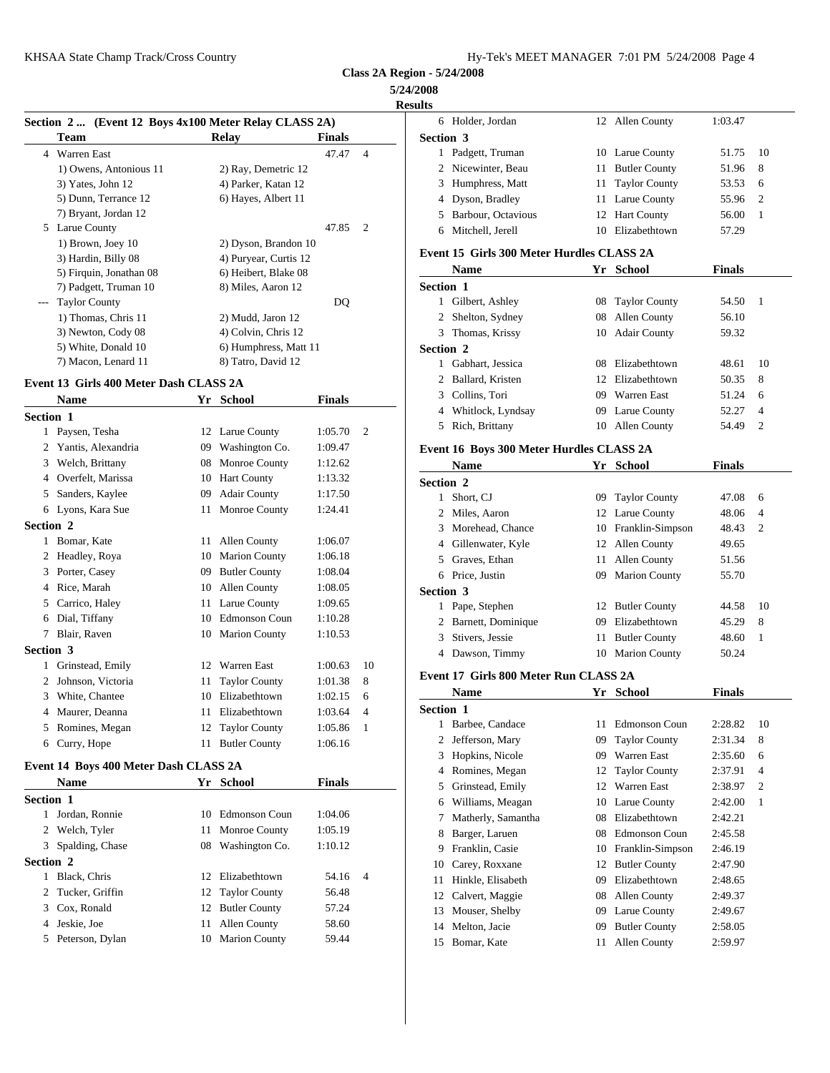#### **5/24/2008**

| וווצי | ۲<br>ш |
|-------|--------|

|  | Section 2 (Event 12 Boys 4x100 Meter Relay CLASS 2A) |
|--|------------------------------------------------------|
|  |                                                      |

|   | $\frac{1}{2}$ and $\frac{1}{2}$ and $\frac{1}{2}$ and $\frac{1}{2}$ are $\frac{1}{2}$ and $\frac{1}{2}$ are $\frac{1}{2}$ and $\frac{1}{2}$ and $\frac{1}{2}$ |                       |               |                |                  |
|---|---------------------------------------------------------------------------------------------------------------------------------------------------------------|-----------------------|---------------|----------------|------------------|
|   | Team                                                                                                                                                          | Relay                 | <b>Finals</b> |                | Section 3        |
| 4 | Warren East                                                                                                                                                   |                       | 47.47         | $\overline{4}$ | 1 Padgett, Ti    |
|   | 1) Owens, Antonious 11                                                                                                                                        | 2) Ray, Demetric 12   |               |                | 2 Nicewinter     |
|   | 3) Yates, John 12                                                                                                                                             | 4) Parker, Katan 12   |               |                | 3 Humphres:      |
|   | 5) Dunn, Terrance 12                                                                                                                                          | 6) Hayes, Albert 11   |               |                | 4 Dyson, Bra     |
|   | 7) Bryant, Jordan 12                                                                                                                                          |                       |               |                | 5 Barbour, C     |
| 5 | Larue County                                                                                                                                                  |                       | 47.85         | 2              | Mitchell, J<br>6 |
|   | 1) Brown, Joey 10                                                                                                                                             | 2) Dyson, Brandon 10  |               |                |                  |
|   | 3) Hardin, Billy 08                                                                                                                                           | 4) Puryear, Curtis 12 |               |                | Event 15 Girls   |
|   | 5) Firquin, Jonathan 08                                                                                                                                       | 6) Heibert, Blake 08  |               |                | <b>Name</b>      |
|   | 7) Padgett, Truman 10                                                                                                                                         | 8) Miles, Aaron 12    |               |                | Section 1        |
|   | <b>Taylor County</b>                                                                                                                                          |                       | DQ            |                | Gilbert, As      |
|   | 1) Thomas, Chris 11                                                                                                                                           | 2) Mudd, Jaron 12     |               |                | 2 Shelton, Sy    |
|   | 3) Newton, Cody 08                                                                                                                                            | 4) Colvin, Chris 12   |               |                | 3 Thomas, K      |
|   | 5) White, Donald 10                                                                                                                                           | 6) Humphress, Matt 11 |               |                | Section 2        |
|   | 7) Macon, Lenard 11                                                                                                                                           | 8) Tatro, David 12    |               |                | Gabhart, Jo      |

#### **Event 13 Girls 400 Meter Dash CLASS 2A**

|                  | <b>Name</b>        |    | Yr School            | <b>Finals</b> |                | COHII                   |
|------------------|--------------------|----|----------------------|---------------|----------------|-------------------------|
| <b>Section 1</b> |                    |    |                      |               |                | Whitl                   |
| $\mathbf{1}$     | Paysen, Tesha      |    | 12 Larue County      | 1:05.70       | $\overline{c}$ | Rich,<br>5              |
|                  | Yantis, Alexandria | 09 | Washington Co.       | 1:09.47       |                | Event 16 B              |
| 3                | Welch, Brittany    | 08 | Monroe County        | 1:12.62       |                | <b>Nam</b>              |
| 4                | Overfelt, Marissa  | 10 | <b>Hart County</b>   | 1:13.32       |                | Section 2               |
| 5                | Sanders, Kaylee    | 09 | <b>Adair County</b>  | 1:17.50       |                | Short.<br>1             |
| 6                | Lyons, Kara Sue    | 11 | <b>Monroe County</b> | 1:24.41       |                | Miles<br>$\overline{c}$ |
| Section 2        |                    |    |                      |               |                | Morel                   |
| 1                | Bomar, Kate        | 11 | <b>Allen County</b>  | 1:06.07       |                | Giller                  |
| 2                | Headley, Roya      | 10 | <b>Marion County</b> | 1:06.18       |                | 5<br>Grave              |
| 3                | Porter, Casey      | 09 | <b>Butler County</b> | 1:08.04       |                | Price,<br>6             |
| 4                | Rice, Marah        | 10 | <b>Allen County</b>  | 1:08.05       |                | Section 3               |
| 5                | Carrico, Haley     | 11 | Larue County         | 1:09.65       |                | Pape,                   |
| 6                | Dial, Tiffany      | 10 | <b>Edmonson Coun</b> | 1:10.28       |                | Barne<br>2              |
|                  | Blair, Raven       |    | 10 Marion County     | 1:10.53       |                | Stiver                  |
| Section 3        |                    |    |                      |               |                | Daws<br>4               |
| 1                | Grinstead, Emily   | 12 | <b>Warren East</b>   | 1:00.63       | 10             |                         |
| 2                | Johnson, Victoria  | 11 | <b>Taylor County</b> | 1:01.38       | 8              | Event 17 G              |
| 3                | White, Chantee     | 10 | Elizabethtown        | 1:02.15       | 6              | <b>Nam</b>              |
| 4                | Maurer, Deanna     | 11 | Elizabethtown        | 1:03.64       | $\overline{4}$ | Section 1               |
| 5                | Romines, Megan     | 12 | <b>Taylor County</b> | 1:05.86       | 1              | <b>Barbe</b>            |
| 6                | Curry, Hope        |    | 11 Butler County     | 1:06.16       |                | Jeffer                  |

#### **Event 14 Boys 400 Meter Dash CLASS 2A**

|                  | <b>Name</b>       |    | Yr School         | <b>Finals</b> |                |    | 5 Grin  |
|------------------|-------------------|----|-------------------|---------------|----------------|----|---------|
| <b>Section 1</b> |                   |    |                   |               |                | 6. | Will    |
| 1                | Jordan, Ronnie    |    | 10 Edmonson Coun  | 1:04.06       |                |    | 7 Matl  |
|                  | 2 Welch, Tyler    |    | 11 Monroe County  | 1:05.19       |                |    | 8 Barg  |
|                  | 3 Spalding, Chase |    | 08 Washington Co. | 1:10.12       |                |    | 9 Fran  |
| <b>Section 2</b> |                   |    |                   |               |                |    | 10 Care |
|                  | Black, Chris      |    | 12 Elizabethtown  | 54.16         | $\overline{4}$ | 11 | Hink    |
|                  | 2 Tucker, Griffin |    | 12 Taylor County  | 56.48         |                |    | 12 Calv |
|                  | 3 Cox, Ronald     |    | 12 Butler County  | 57.24         |                |    | 13 Mou  |
| 4                | Jeskie, Joe       | 11 | Allen County      | 58.60         |                |    | 14 Melt |
|                  | 5 Peterson, Dylan |    | 10 Marion County  | 59.44         |                | 15 | Bom     |
|                  |                   |    |                   |               |                |    |         |

| <b>Results</b>   |                    |                  |         |      |  |
|------------------|--------------------|------------------|---------|------|--|
| 6.               | Holder, Jordan     | 12 Allen County  | 1:03.47 |      |  |
| <b>Section 3</b> |                    |                  |         |      |  |
|                  | Padgett, Truman    | 10 Larue County  | 51.75   | - 10 |  |
|                  | 2 Nicewinter, Beau | 11 Butler County | 51.96   | - 8  |  |
|                  | 3 Humphress, Matt  | 11 Taylor County | 53.53   | - 6  |  |
|                  | 4 Dyson, Bradley   | 11 Larue County  | 55.96 2 |      |  |
| 5                | Barbour, Octavious | 12 Hart County   | 56.00   |      |  |
| 6                | Mitchell, Jerell   | 10 Elizabethtown | 57.29   |      |  |
|                  |                    |                  |         |      |  |

#### **Event 15 Girls 300 Meter Hurdles CLASS 2A**

|                  | <b>Name</b>        |    | Yr School           | <b>Finals</b> |     |
|------------------|--------------------|----|---------------------|---------------|-----|
| <b>Section 1</b> |                    |    |                     |               |     |
| 1                | Gilbert, Ashley    |    | 08 Taylor County    | 54.50         | - 1 |
|                  | 2 Shelton, Sydney  |    | 08 Allen County     | 56.10         |     |
|                  | 3 Thomas, Krissy   | 10 | <b>Adair County</b> | 59.32         |     |
| <b>Section 2</b> |                    |    |                     |               |     |
|                  | Gabhart, Jessica   | 08 | Elizabethtown       | 48.61         | -10 |
|                  | 2 Ballard, Kristen |    | 12 Elizabethtown    | 50.35         | 8   |
|                  | 3 Collins, Tori    | 09 | Warren East         | 51.24         | 6   |
| 4                | Whitlock, Lyndsay  | 09 | Larue County        | 52.27         | 4   |
| 5.               | Rich, Brittany     | 10 | Allen County        | 54.49         | 2   |
|                  |                    |    |                     |               |     |

# **Event 16 Boys 300 Meter Hurdles CLASS 2A**

|                  | <b>Name</b>          |    | Yr School            | <b>Finals</b> |     |
|------------------|----------------------|----|----------------------|---------------|-----|
| <b>Section 2</b> |                      |    |                      |               |     |
|                  | Short, CJ            | 09 | <b>Taylor County</b> | 47.08         | 6   |
|                  | 2 Miles, Aaron       |    | 12 Larue County      | 48.06         | 4   |
|                  | 3 Morehead, Chance   |    | 10 Franklin-Simpson  | 48.43         | - 2 |
|                  | 4 Gillenwater, Kyle  |    | 12 Allen County      | 49.65         |     |
|                  | 5 Graves, Ethan      |    | 11 Allen County      | 51.56         |     |
|                  | 6 Price, Justin      | 09 | <b>Marion County</b> | 55.70         |     |
| <b>Section 3</b> |                      |    |                      |               |     |
|                  | 1 Pape, Stephen      |    | 12 Butler County     | 44.58         | 10  |
|                  | 2 Barnett, Dominique | 09 | Elizabethtown        | 45.29         | 8   |
| 3                | Stivers, Jessie      | 11 | <b>Butler County</b> | 48.60         | 1   |
| 4                | Dawson, Timmy        | 10 | <b>Marion County</b> | 50.24         |     |
|                  |                      |    |                      |               |     |

#### **Event 17 Girls 800 Meter Run CLASS 2A**

|                  | <b>Name</b>        | Yr | School               | <b>Finals</b> |                |
|------------------|--------------------|----|----------------------|---------------|----------------|
| <b>Section 1</b> |                    |    |                      |               |                |
|                  | Barbee, Candace    | 11 | <b>Edmonson Coun</b> | 2:28.82       | 10             |
| 2                | Jefferson, Mary    | 09 | <b>Taylor County</b> | 2:31.34       | 8              |
| 3                | Hopkins, Nicole    | 09 | Warren East          | 2:35.60       | 6              |
| 4                | Romines, Megan     | 12 | <b>Taylor County</b> | 2:37.91       | $\overline{4}$ |
| 5                | Grinstead, Emily   | 12 | Warren East          | 2:38.97       | $\overline{c}$ |
| 6                | Williams, Meagan   | 10 | Larue County         | 2:42.00       | 1              |
| 7                | Matherly, Samantha | 08 | Elizabethtown        | 2:42.21       |                |
| 8                | Barger, Laruen     | 08 | <b>Edmonson Coun</b> | 2:45.58       |                |
| 9                | Franklin, Casie    | 10 | Franklin-Simpson     | 2:46.19       |                |
| 10               | Carey, Roxxane     | 12 | <b>Butler County</b> | 2:47.90       |                |
| 11               | Hinkle, Elisabeth  | 09 | Elizabethtown        | 2:48.65       |                |
| 12               | Calvert, Maggie    | 08 | Allen County         | 2:49.37       |                |
| 13               | Mouser, Shelby     | 09 | Larue County         | 2:49.67       |                |
| 14               | Melton, Jacie      | 09 | <b>Butler County</b> | 2:58.05       |                |
| 15               | Bomar, Kate        | 11 | Allen County         | 2:59.97       |                |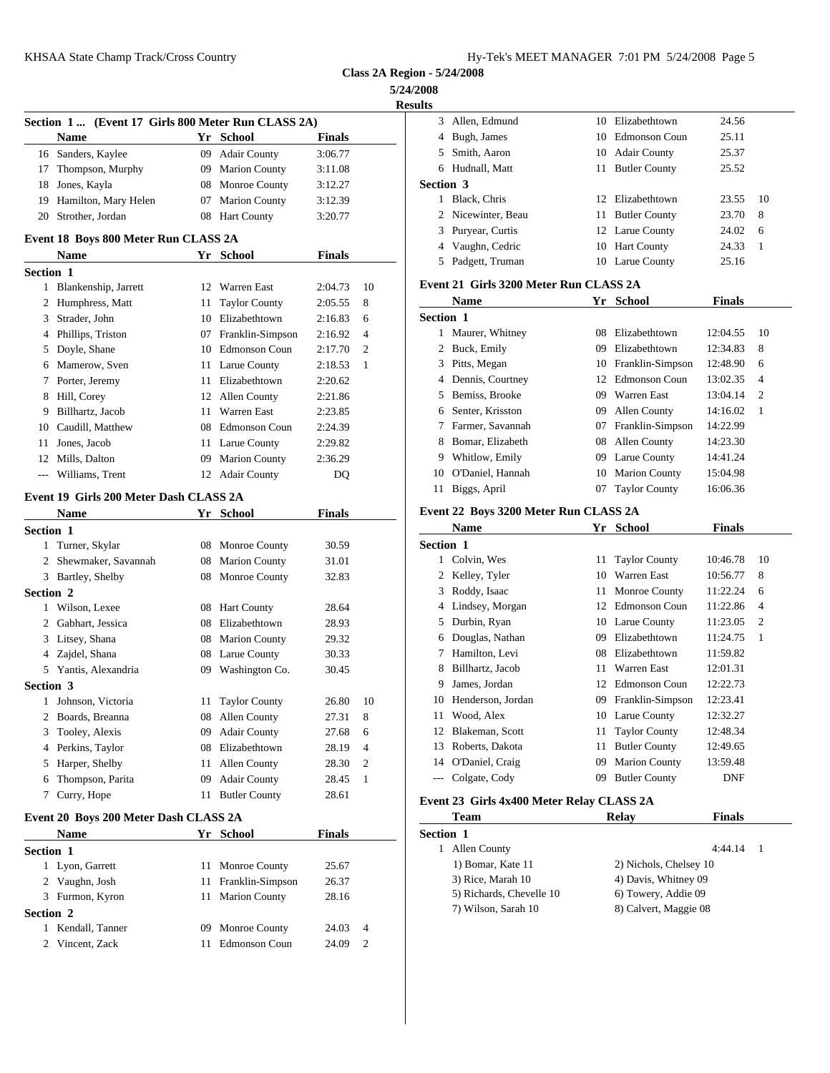**5/24/2008 Results**

|                        |                                                    |    |                      |               |                | <b>Results</b>           |
|------------------------|----------------------------------------------------|----|----------------------|---------------|----------------|--------------------------|
|                        | Section 1  (Event 17 Girls 800 Meter Run CLASS 2A) |    |                      |               |                | 3 Allen, Edn             |
|                        | <b>Name</b>                                        |    | Yr School            | <b>Finals</b> |                | 4 Bugh, Jam              |
|                        | 16 Sanders, Kaylee                                 |    | 09 Adair County      | 3:06.77       |                | 5 Smith, Aar             |
| 17                     | Thompson, Murphy                                   |    | 09 Marion County     | 3:11.08       |                | 6 Hudnall, M             |
|                        | 18 Jones, Kayla                                    |    | 08 Monroe County     | 3:12.27       |                | Section 3                |
|                        | 19 Hamilton, Mary Helen                            |    | 07 Marion County     | 3:12.39       |                | 1 Black, Chr             |
|                        | 20 Strother, Jordan                                |    | 08 Hart County       | 3:20.77       |                | 2 Nicewinter             |
|                        | Event 18 Boys 800 Meter Run CLASS 2A               |    |                      |               |                | Puryear, C<br>3          |
|                        | Name                                               |    | Yr School            | <b>Finals</b> |                | 4 Vaughn, C              |
| Section 1              |                                                    |    |                      |               |                | 5 Padgett, Ti            |
|                        | 1 Blankenship, Jarrett                             |    | 12 Warren East       | 2:04.73       | 10             | Event 21 Girls           |
|                        | 2 Humphress, Matt                                  |    | 11 Taylor County     | 2:05.55       | 8              | <b>Name</b>              |
|                        | 3 Strader, John                                    |    | 10 Elizabethtown     | 2:16.83       | 6              | Section 1                |
|                        | 4 Phillips, Triston                                |    | 07 Franklin-Simpson  | 2:16.92       | $\overline{4}$ | 1 Maurer, W              |
|                        | 5 Doyle, Shane                                     |    | 10 Edmonson Coun     | 2:17.70       | 2              | 2 Buck, Emi              |
|                        | 6 Mamerow, Sven                                    |    | 11 Larue County      | 2:18.53       | 1              | 3 Pitts, Mega            |
|                        | 7 Porter, Jeremy                                   |    | 11 Elizabethtown     | 2:20.62       |                | 4 Dennis, Co             |
|                        | 8 Hill, Corey                                      |    | 12 Allen County      | 2:21.86       |                | Bemiss, Br<br>5          |
| 9                      | Billhartz, Jacob                                   |    | 11 Warren East       | 2:23.85       |                | Senter, Kri<br>6         |
| 10                     | Caudill, Matthew                                   |    | 08 Edmonson Coun     | 2:24.39       |                | 7 Farmer, Sa             |
|                        | 11 Jones, Jacob                                    |    | 11 Larue County      | 2:29.82       |                | 8 Bomar, Eli             |
|                        | 12 Mills, Dalton                                   |    | 09 Marion County     | 2:36.29       |                | 9 Whitlow, I             |
|                        | Williams, Trent                                    |    | 12 Adair County      | DQ            |                | 10 O'Daniel, l           |
|                        |                                                    |    |                      |               |                | 11 Biggs, Apr            |
|                        | Event 19 Girls 200 Meter Dash CLASS 2A             |    |                      |               |                | Event 22 Boys            |
|                        | <b>Name</b>                                        |    | Yr School            | <b>Finals</b> |                | Name                     |
| <b>Section 1</b>       |                                                    |    |                      |               |                | Section 1                |
|                        | 1 Turner, Skylar                                   |    | 08 Monroe County     | 30.59         |                | 1 Colvin, W              |
|                        | 2 Shewmaker, Savannah                              |    | 08 Marion County     | 31.01         |                | 2 Kelley, Ty             |
|                        | 3 Bartley, Shelby                                  |    | 08 Monroe County     | 32.83         |                | Roddy, Isa<br>3          |
| Section 2              | 1 Wilson, Lexee                                    |    | 08 Hart County       | 28.64         |                | 4 Lindsey, M             |
|                        |                                                    |    |                      |               |                |                          |
|                        |                                                    |    |                      |               |                |                          |
|                        | 2 Gabhart, Jessica                                 |    | 08 Elizabethtown     | 28.93         |                | 5 Durbin, Ry             |
|                        | 3 Litsey, Shana                                    |    | 08 Marion County     | 29.32         |                | 6 Douglas, N             |
|                        | 4 Zajdel, Shana                                    |    | 08 Larue County      | 30.33         |                | Hamilton,<br>$7^{\circ}$ |
|                        | 5 Yantis, Alexandria                               |    | 09 Washington Co.    | 30.45         |                | 8 Billhartz, J           |
|                        |                                                    |    |                      |               |                | James, Jor<br>9          |
|                        | 1 Johnson, Victoria                                | 11 | <b>Taylor County</b> | 26.80         | 10             | 10 Henderson             |
| 2                      | Boards, Breanna                                    |    | 08 Allen County      | 27.31         | 8              | 11 Wood, Ale             |
| 3                      | Tooley, Alexis                                     |    | 09 Adair County      | 27.68         | 6              | 12 Blakeman,             |
| 4                      | Perkins, Taylor                                    |    | 08 Elizabethtown     | 28.19         | 4              | Roberts, D<br>13         |
| 5                      | Harper, Shelby                                     |    | 11 Allen County      | 28.30         | 2              | 14 O'Daniel,             |
| 6                      | Thompson, Parita                                   |    | 09 Adair County      | 28.45         | $\mathbf{1}$   | --- Colgate, C           |
| Section 3              | 7 Curry, Hope                                      |    | 11 Butler County     | 28.61         |                | <b>Event 23 Girls</b>    |
|                        | Event 20 Boys 200 Meter Dash CLASS 2A              |    |                      |               |                | <b>Team</b>              |
|                        | Name                                               |    | Yr School            | <b>Finals</b> |                | Section 1                |
|                        |                                                    |    |                      |               |                | 1 Allen Cou              |
|                        | 1 Lyon, Garrett                                    |    | 11 Monroe County     | 25.67         |                | 1) Bomar,                |
|                        | 2 Vaughn, Josh                                     |    | 11 Franklin-Simpson  | 26.37         |                | 3) Rice, M               |
|                        | 3 Furmon, Kyron                                    |    | 11 Marion County     | 28.16         |                | 5) Richard               |
|                        |                                                    |    |                      |               |                | 7) Wilson,               |
| Section 1<br>Section 2 | 1 Kendall, Tanner                                  |    | 09 Monroe County     | 24.03         | 4              |                          |

| աւՏ              |                                               |    |                        |               |              |
|------------------|-----------------------------------------------|----|------------------------|---------------|--------------|
| 3                | Allen, Edmund                                 |    | 10 Elizabethtown       | 24.56         |              |
|                  | 4 Bugh, James                                 |    | 10 Edmonson Coun       | 25.11         |              |
|                  | 5 Smith, Aaron                                |    | 10 Adair County        | 25.37         |              |
|                  | 6 Hudnall, Matt                               |    | 11 Butler County       | 25.52         |              |
| Section 3        |                                               |    |                        |               |              |
|                  | 1 Black, Chris                                |    | 12 Elizabethtown       | 23.55         | 10           |
|                  | 2 Nicewinter, Beau                            |    | 11 Butler County       | 23.70         | 8            |
|                  | 3 Puryear, Curtis                             |    | 12 Larue County        | 24.02         | 6            |
|                  | 4 Vaughn, Cedric                              |    | 10 Hart County         | 24.33         | 1            |
|                  | 5 Padgett, Truman                             |    | 10 Larue County        | 25.16         |              |
|                  | Event 21 Girls 3200 Meter Run CLASS 2A        |    |                        |               |              |
|                  | <b>Name</b>                                   |    | Yr School              | <b>Finals</b> |              |
| Section 1        |                                               |    |                        |               |              |
|                  | 1 Maurer, Whitney                             |    | 08 Elizabethtown       | 12:04.55      | 10           |
|                  | 2 Buck, Emily                                 |    | 09 Elizabethtown       | 12:34.83      | 8            |
|                  | 3 Pitts, Megan                                |    | 10 Franklin-Simpson    | 12:48.90      | 6            |
|                  | 4 Dennis, Courtney                            |    | 12 Edmonson Coun       | 13:02.35      | 4            |
|                  | 5 Bemiss, Brooke                              |    | 09 Warren East         | 13:04.14      | 2            |
|                  | 6 Senter, Krisston                            |    | 09 Allen County        | 14:16.02      | 1            |
|                  | 7 Farmer, Savannah                            |    | 07 Franklin-Simpson    | 14:22.99      |              |
|                  | 8 Bomar, Elizabeth                            |    | 08 Allen County        | 14:23.30      |              |
|                  | 9 Whitlow, Emily                              |    | 09 Larue County        | 14:41.24      |              |
|                  | 10 O'Daniel, Hannah                           |    | 10 Marion County       | 15:04.98      |              |
|                  | 11 Biggs, April                               |    | 07 Taylor County       | 16:06.36      |              |
|                  |                                               |    |                        |               |              |
|                  | Event 22 Boys 3200 Meter Run CLASS 2A<br>Name |    | Yr School              |               |              |
|                  |                                               |    |                        | Finals        |              |
| Section 1        |                                               |    |                        |               |              |
|                  | 1 Colvin, Wes                                 | 11 | <b>Taylor County</b>   | 10:46.78      | 10           |
|                  | 2 Kelley, Tyler                               |    | 10 Warren East         | 10:56.77      | 8            |
|                  | 3 Roddy, Isaac                                |    | 11 Monroe County       | 11:22.24      | 6            |
|                  | 4 Lindsey, Morgan                             |    | 12 Edmonson Coun       | 11:22.86      | 4            |
|                  | 5 Durbin, Ryan                                |    | 10 Larue County        | 11:23.05      | 2            |
|                  | 6 Douglas, Nathan                             |    | 09 Elizabethtown       | 11:24.75      | 1            |
|                  | 7 Hamilton, Levi                              | 08 | Elizabethtown          | 11:59.82      |              |
| 8                | Billhartz, Jacob                              | 11 | Warren East            | 12:01.31      |              |
| 9                | James, Jordan                                 |    | 12 Edmonson Coun       | 12:22.73      |              |
|                  | 10 Henderson, Jordan                          |    | 09 Franklin-Simpson    | 12:23.41      |              |
| 11               | Wood, Alex                                    |    | 10 Larue County        | 12:32.27      |              |
|                  | 12 Blakeman, Scott                            | 11 | <b>Taylor County</b>   | 12:48.34      |              |
| 13               | Roberts, Dakota                               |    | 11 Butler County       | 12:49.65      |              |
|                  | 14 O'Daniel, Craig                            |    | 09 Marion County       | 13:59.48      |              |
| $\overline{a}$   | Colgate, Cody                                 |    | 09 Butler County       | DNF           |              |
|                  | Event 23 Girls 4x400 Meter Relay CLASS 2A     |    |                        |               |              |
|                  | Team                                          |    | <b>Relay</b>           | <b>Finals</b> |              |
| <b>Section 1</b> |                                               |    |                        |               |              |
|                  | 1 Allen County                                |    |                        | 4:44.14       | $\mathbf{1}$ |
|                  | 1) Bomar, Kate 11                             |    | 2) Nichols, Chelsey 10 |               |              |
|                  | 3) Rice, Marah 10                             |    | 4) Davis, Whitney 09   |               |              |
|                  | 5) Richards, Chevelle 10                      |    | 6) Towery, Addie 09    |               |              |

7) Wilson, Sarah 10 8) Calvert, Maggie 08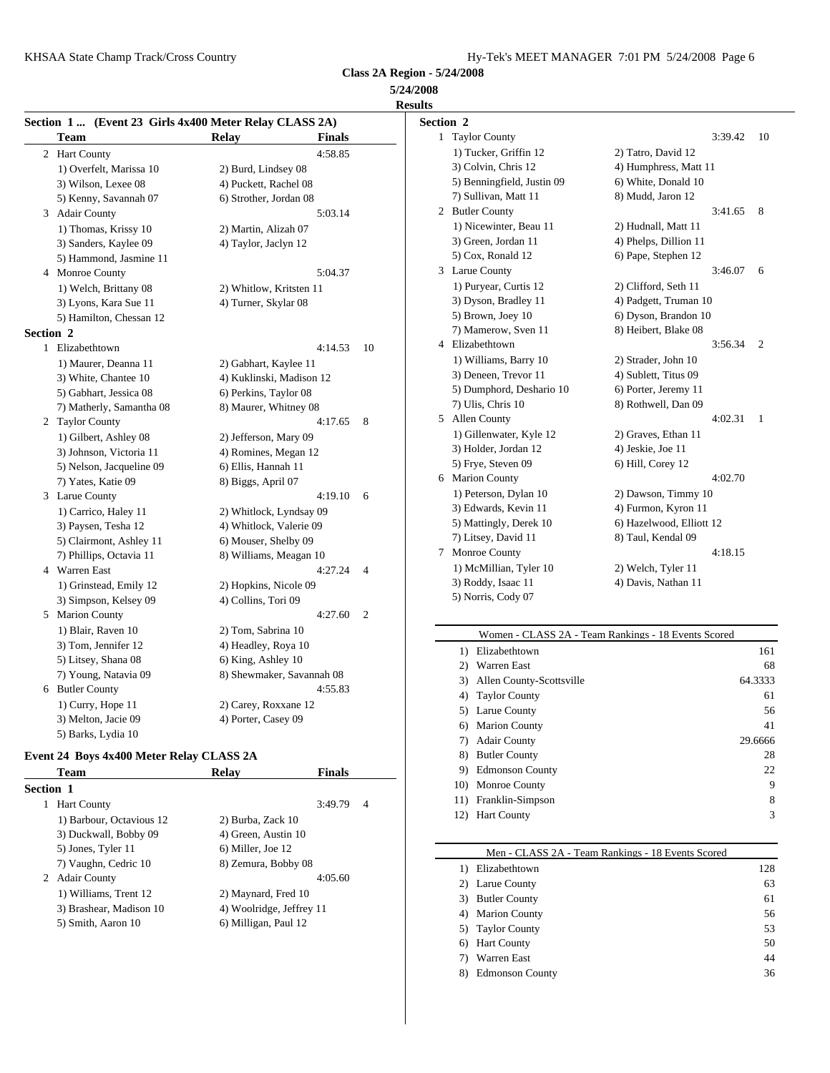**5/24/2008 Results**

|                  |                          | Section 1  (Event 23 Girls 4x400 Meter Relay CLASS 2A) |    | Section 2         |
|------------------|--------------------------|--------------------------------------------------------|----|-------------------|
|                  | <b>Team</b>              | <b>Relay</b><br><b>Finals</b>                          |    | 1 Taylo           |
|                  | 2 Hart County            | 4:58.85                                                |    | $1)$ Tu           |
|                  | 1) Overfelt, Marissa 10  | 2) Burd, Lindsey 08                                    |    | $3)$ Co           |
|                  | 3) Wilson, Lexee 08      | 4) Puckett, Rachel 08                                  |    | 5) Be             |
|                  | 5) Kenny, Savannah 07    | 6) Strother, Jordan 08                                 |    | 7) Sul            |
|                  | 3 Adair County           | 5:03.14                                                |    | 2 Butler          |
|                  | 1) Thomas, Krissy 10     | 2) Martin, Alizah 07                                   |    | $1)$ Ni           |
|                  | 3) Sanders, Kaylee 09    | 4) Taylor, Jaclyn 12                                   |    | $3)$ Gro          |
|                  | 5) Hammond, Jasmine 11   |                                                        |    | 5) Co             |
|                  | 4 Monroe County          | 5:04.37                                                |    | 3 Larue           |
|                  | 1) Welch, Brittany 08    | 2) Whitlow, Kritsten 11                                |    | $1)$ Pu           |
|                  | 3) Lyons, Kara Sue 11    | 4) Turner, Skylar 08                                   |    | $3)$ Dy           |
|                  | 5) Hamilton, Chessan 12  |                                                        |    | $5)$ Bro          |
| <b>Section 2</b> |                          |                                                        |    | 7) Ma             |
|                  | 1 Elizabethtown          | 4:14.53                                                | 10 | 4 Elizal          |
|                  | 1) Maurer, Deanna 11     | 2) Gabhart, Kaylee 11                                  |    | $1)$ Wi           |
|                  | 3) White, Chantee 10     | 4) Kuklinski, Madison 12                               |    | 3) De             |
|                  | 5) Gabhart, Jessica 08   | 6) Perkins, Taylor 08                                  |    | 5) Du             |
|                  | 7) Matherly, Samantha 08 | 8) Maurer, Whitney 08                                  |    | 7) Uli            |
|                  | 2 Taylor County          | 4:17.65                                                | 8  | 5 Allen           |
|                  | 1) Gilbert, Ashley 08    | 2) Jefferson, Mary 09                                  |    | $1)$ Gi           |
|                  | 3) Johnson, Victoria 11  | 4) Romines, Megan 12                                   |    | $3)$ Ho           |
|                  | 5) Nelson, Jacqueline 09 | 6) Ellis, Hannah 11                                    |    | 5) Fry            |
|                  | 7) Yates, Katie 09       | 8) Biggs, April 07                                     |    | 6 Maric           |
|                  | 3 Larue County           | 4:19.10                                                | 6  | 1) Pet            |
|                  | 1) Carrico, Haley 11     | 2) Whitlock, Lyndsay 09                                |    | 3) Ed             |
|                  | 3) Paysen, Tesha 12      | 4) Whitlock, Valerie 09                                |    | 5) $M3$           |
|                  | 5) Clairmont, Ashley 11  | 6) Mouser, Shelby 09                                   |    | 7) Lit            |
|                  | 7) Phillips, Octavia 11  | 8) Williams, Meagan 10                                 |    | Monr<br>7         |
|                  | 4 Warren East            | 4:27.24                                                | 4  | $1)$ Mo           |
|                  | 1) Grinstead, Emily 12   | 2) Hopkins, Nicole 09                                  |    | $3)$ Ro           |
|                  | 3) Simpson, Kelsey 09    | 4) Collins, Tori 09                                    |    | 5) No             |
|                  | 5 Marion County          | 4:27.60                                                | 2  |                   |
|                  | 1) Blair, Raven 10       | 2) Tom, Sabrina 10                                     |    |                   |
|                  | 3) Tom, Jennifer 12      | 4) Headley, Roya 10                                    |    | 1)                |
|                  | 5) Litsey, Shana 08      | 6) King, Ashley 10                                     |    | 2)                |
|                  | 7) Young, Natavia 09     | 8) Shewmaker, Savannah 08                              |    | 3)                |
|                  | 6 Butler County          | 4:55.83                                                |    | 4)                |
|                  | 1) Curry, Hope 11        | 2) Carey, Roxxane 12                                   |    | 5)                |
|                  | 3) Melton, Jacie 09      | 4) Porter, Casey 09                                    |    | $\curvearrowleft$ |

#### **Event 24 Boys 4x400 Meter Relay CLASS 2A**

5) Barks, Lydia 10

|                  | Team                     | Relay                    | <b>Finals</b> |   | 9)  |
|------------------|--------------------------|--------------------------|---------------|---|-----|
| <b>Section 1</b> |                          |                          |               |   | 10) |
|                  | <b>Hart County</b>       |                          | 3:49.79       | 4 | 11) |
|                  | 1) Barbour, Octavious 12 | 2) Burba, Zack 10        |               |   | 12) |
|                  | 3) Duckwall, Bobby 09    | 4) Green, Austin 10      |               |   |     |
|                  | 5) Jones, Tyler 11       | 6) Miller, Joe 12        |               |   |     |
|                  | 7) Vaughn, Cedric 10     | 8) Zemura, Bobby 08      |               |   | 1)  |
|                  | 2 Adair County           |                          | 4:05.60       |   | 2)  |
|                  | 1) Williams, Trent 12    | 2) Maynard, Fred 10      |               |   | 3)  |
|                  | 3) Brashear, Madison 10  | 4) Woolridge, Jeffrey 11 |               |   | 4)  |
|                  | 5) Smith, Aaron 10       | 6) Milligan, Paul 12     |               |   | 5)  |
|                  |                          |                          |               |   |     |

| Section 2    |                            |                          |         |    |
|--------------|----------------------------|--------------------------|---------|----|
| $\mathbf{1}$ | <b>Taylor County</b>       |                          | 3:39.42 | 10 |
|              | 1) Tucker, Griffin 12      | 2) Tatro, David 12       |         |    |
|              | 3) Colvin, Chris 12        | 4) Humphress, Matt 11    |         |    |
|              | 5) Benningfield, Justin 09 | 6) White, Donald 10      |         |    |
|              | 7) Sullivan, Matt 11       | 8) Mudd, Jaron 12        |         |    |
|              | 2 Butler County            |                          | 3:41.65 | 8  |
|              | 1) Nicewinter, Beau 11     | 2) Hudnall, Matt 11      |         |    |
|              | 3) Green, Jordan 11        | 4) Phelps, Dillion 11    |         |    |
|              | 5) Cox, Ronald 12          | 6) Pape, Stephen 12      |         |    |
| 3            | Larue County               |                          | 3:46.07 | 6  |
|              | 1) Puryear, Curtis 12      | 2) Clifford, Seth 11     |         |    |
|              | 3) Dyson, Bradley 11       | 4) Padgett, Truman 10    |         |    |
|              | 5) Brown, Joey 10          | 6) Dyson, Brandon 10     |         |    |
|              | 7) Mamerow, Sven 11        | 8) Heibert, Blake 08     |         |    |
|              | 4 Elizabethtown            |                          | 3:56.34 | 2  |
|              | 1) Williams, Barry 10      | 2) Strader, John 10      |         |    |
|              | 3) Deneen, Trevor 11       | 4) Sublett, Titus 09     |         |    |
|              | 5) Dumphord, Deshario 10   | 6) Porter, Jeremy 11     |         |    |
|              | 7) Ulis, Chris 10          | 8) Rothwell, Dan 09      |         |    |
| 5.           | <b>Allen County</b>        |                          | 4:02.31 | 1  |
|              | 1) Gillenwater, Kyle 12    | 2) Graves, Ethan 11      |         |    |
|              | 3) Holder, Jordan 12       | 4) Jeskie, Joe 11        |         |    |
|              | 5) Frye, Steven 09         | 6) Hill, Corey 12        |         |    |
|              | 6 Marion County            |                          | 4:02.70 |    |
|              | 1) Peterson, Dylan 10      | 2) Dawson, Timmy 10      |         |    |
|              | 3) Edwards, Kevin 11       | 4) Furmon, Kyron 11      |         |    |
|              | 5) Mattingly, Derek 10     | 6) Hazelwood, Elliott 12 |         |    |
|              | 7) Litsey, David 11        | 8) Taul, Kendal 09       |         |    |
| 7            | Monroe County              |                          | 4:18.15 |    |
|              | 1) McMillian, Tyler 10     | 2) Welch, Tyler 11       |         |    |
|              | 3) Roddy, Isaac 11         | 4) Davis, Nathan 11      |         |    |
|              | 5) Norris, Cody 07         |                          |         |    |

#### Women - CLASS 2A - Team Rankings - 18 Events Scored 1) Elizabethtown 161 2) Warren East 68 3) Allen County-Scottsville 64.3333 4) Taylor County 61 5) Larue County 56 6) Marion County 41 7) Adair County 29.6666 8) Butler County 28 9) Edmonson County 22 10) Monroe County 9 11) Franklin-Simpson 8

|    | Men - CLASS 2A - Team Rankings - 18 Events Scored |     |
|----|---------------------------------------------------|-----|
|    | 1) Elizabethtown                                  | 128 |
|    | 2) Larue County                                   | 63  |
| 3) | <b>Butler County</b>                              | 61  |
| 4) | <b>Marion County</b>                              | 56  |
|    | 5) Taylor County                                  | 53  |
| 6) | <b>Hart County</b>                                | 50  |
|    | Warren East                                       | 44  |
| 8) | <b>Edmonson County</b>                            | 36  |

12) Hart County 3